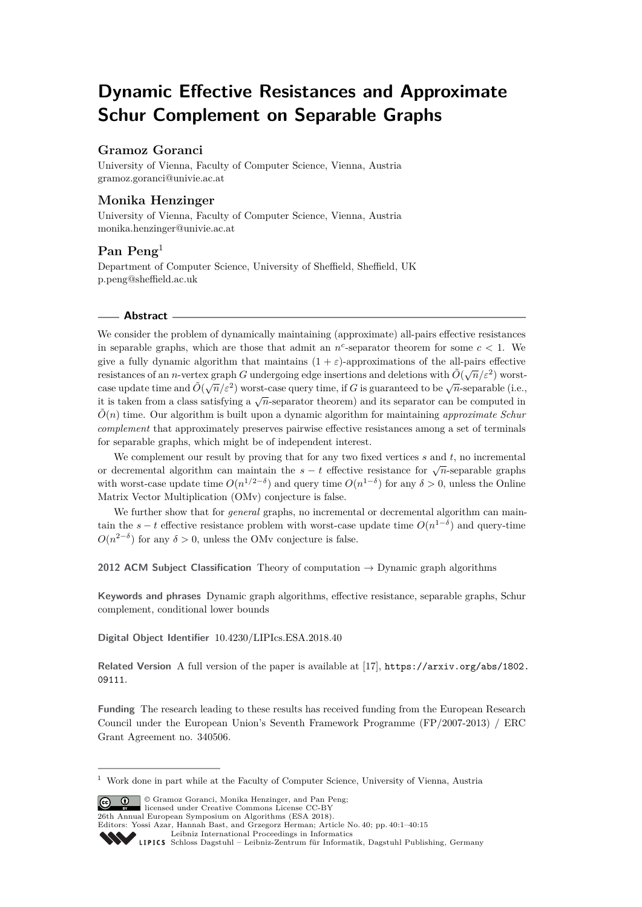# **Dynamic Effective Resistances and Approximate Schur Complement on Separable Graphs**

## **Gramoz Goranci**

University of Vienna, Faculty of Computer Science, Vienna, Austria [gramoz.goranci@univie.ac.at](mailto:gramoz.goranci@univie.ac.at)

# **Monika Henzinger**

University of Vienna, Faculty of Computer Science, Vienna, Austria [monika.henzinger@univie.ac.at](mailto:monika.henzinger@univie.ac.at)

## **Pan Peng**<sup>1</sup>

Department of Computer Science, University of Sheffield, Sheffield, UK [p.peng@sheffield.ac.uk](mailto:p.peng@sheffield.ac.uk)

#### **Abstract**

We consider the problem of dynamically maintaining (approximate) all-pairs effective resistances in separable graphs, which are those that admit an  $n^c$ -separator theorem for some  $c < 1$ . We give a fully dynamic algorithm that maintains  $(1 + \varepsilon)$ -approximations of the all-pairs effective resistances of an *n*-vertex graph *G* undergoing edge insertions and deletions with  $\tilde{O}(\sqrt{n}/\varepsilon^2)$  worstcase update time and  $\tilde{O}(\sqrt{n}/\varepsilon^2)$  worst-case query time, if *G* is guaranteed to be  $\sqrt{n}$ -separable (i.e., case update time and  $O(\sqrt{n/\varepsilon})$  worst-case query time, if  $O$  is guaranteed to be  $\sqrt{n}$ -separator (i.e. it is taken from a class satisfying a  $\sqrt{n}$ -separator theorem) and its separator can be computed in  $\tilde{O}(n)$  time. Our algorithm is built upon a dynamic algorithm for maintaining *approximate Schur complement* that approximately preserves pairwise effective resistances among a set of terminals for separable graphs, which might be of independent interest.

We complement our result by proving that for any two fixed vertices *s* and *t*, no incremental or decremental algorithm can maintain the  $s - t$  effective resistance for  $\sqrt{n}$ -separable graphs with worst-case update time  $O(n^{1/2-\delta})$  and query time  $O(n^{1-\delta})$  for any  $\delta > 0$ , unless the Online Matrix Vector Multiplication (OMv) conjecture is false.

We further show that for *general* graphs, no incremental or decremental algorithm can maintain the  $s - t$  effective resistance problem with worst-case update time  $O(n^{1-\delta})$  and query-time  $O(n^{2-\delta})$  for any  $\delta > 0$ , unless the OMv conjecture is false.

**2012 ACM Subject Classification** Theory of computation → Dynamic graph algorithms

**Keywords and phrases** Dynamic graph algorithms, effective resistance, separable graphs, Schur complement, conditional lower bounds

**Digital Object Identifier** [10.4230/LIPIcs.ESA.2018.40](http://dx.doi.org/10.4230/LIPIcs.ESA.2018.40)

**Related Version** A full version of the paper is available at [\[17\]](#page-13-0), [https://arxiv.org/abs/1802.](https://arxiv.org/abs/1802.09111) [09111](https://arxiv.org/abs/1802.09111).

**Funding** The research leading to these results has received funding from the European Research Council under the European Union's Seventh Framework Programme (FP/2007-2013) / ERC Grant Agreement no. 340506.

© Gramoz Goranci, Monika Henzinger, and Pan Peng; licensed under Creative Commons License CC-BY 26th Annual European Symposium on Algorithms (ESA 2018).

<sup>1</sup> Work done in part while at the Faculty of Computer Science, University of Vienna, Austria

Editors: Yossi Azar, Hannah Bast, and Grzegorz Herman; Article No. 40; pp. 40:1–40[:15](#page-14-0) [Leibniz International Proceedings in Informatics](http://www.dagstuhl.de/lipics/)

Leibniz International Froceedings in miormatics<br>
LIPICS [Schloss Dagstuhl – Leibniz-Zentrum für Informatik, Dagstuhl Publishing, Germany](http://www.dagstuhl.de)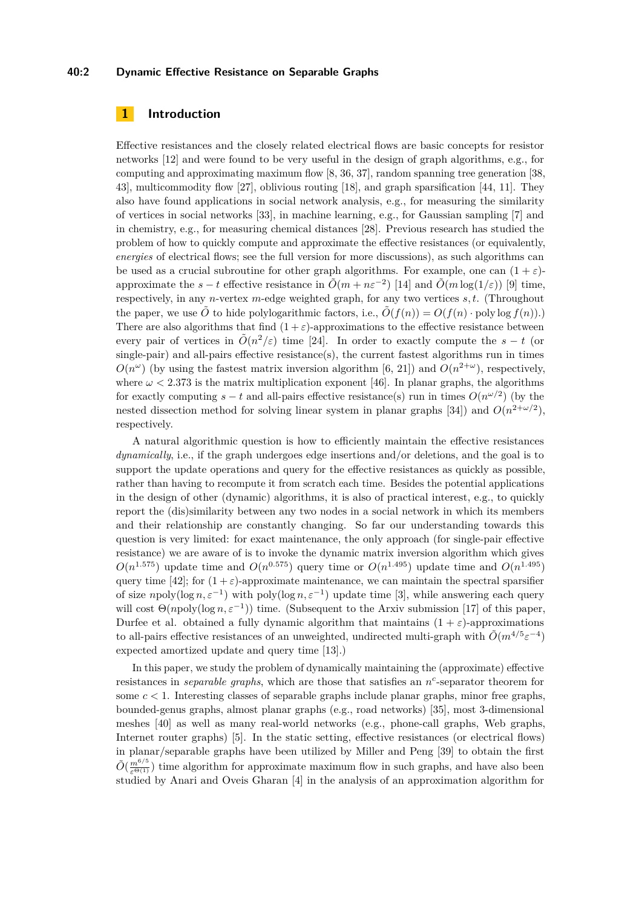### **40:2 Dynamic Effective Resistance on Separable Graphs**

## **1 Introduction**

Effective resistances and the closely related electrical flows are basic concepts for resistor networks [\[12\]](#page-13-1) and were found to be very useful in the design of graph algorithms, e.g., for computing and approximating maximum flow [\[8,](#page-12-0) [36,](#page-14-1) [37\]](#page-14-2), random spanning tree generation [\[38,](#page-14-3) [43\]](#page-14-4), multicommodity flow [\[27\]](#page-13-2), oblivious routing [\[18\]](#page-13-3), and graph sparsification [\[44,](#page-14-5) [11\]](#page-13-4). They also have found applications in social network analysis, e.g., for measuring the similarity of vertices in social networks [\[33\]](#page-14-6), in machine learning, e.g., for Gaussian sampling [\[7\]](#page-12-1) and in chemistry, e.g., for measuring chemical distances [\[28\]](#page-14-7). Previous research has studied the problem of how to quickly compute and approximate the effective resistances (or equivalently, *energies* of electrical flows; see the full version for more discussions), as such algorithms can be used as a crucial subroutine for other graph algorithms. For example, one can  $(1 + \varepsilon)$ approximate the  $s - t$  effective resistance in  $\tilde{O}(m + n\varepsilon^{-2})$  [\[14\]](#page-13-5) and  $\tilde{O}(m \log(1/\varepsilon))$  [\[9\]](#page-12-2) time, respectively, in any *n*-vertex *m*-edge weighted graph, for any two vertices *s, t*. (Throughout the paper, we use  $\tilde{O}$  to hide polylogarithmic factors, i.e.,  $\tilde{O}(f(n)) = O(f(n) \cdot \text{polylog } f(n))$ . There are also algorithms that find  $(1 + \varepsilon)$ -approximations to the effective resistance between every pair of vertices in  $\tilde{O}(n^2/\varepsilon)$  time [\[24\]](#page-13-6). In order to exactly compute the  $s-t$  (or single-pair) and all-pairs effective resistance(s), the current fastest algorithms run in times  $O(n^{\omega})$  (by using the fastest matrix inversion algorithm [\[6,](#page-12-3) [21\]](#page-13-7)) and  $O(n^{2+\omega})$ , respectively, where  $\omega$  < 2.373 is the matrix multiplication exponent [\[46\]](#page-14-8). In planar graphs, the algorithms for exactly computing  $s - t$  and all-pairs effective resistance(s) run in times  $O(n^{\omega/2})$  (by the nested dissection method for solving linear system in planar graphs [\[34\]](#page-14-9)) and  $O(n^{2+\omega/2})$ , respectively.

A natural algorithmic question is how to efficiently maintain the effective resistances *dynamically*, i.e., if the graph undergoes edge insertions and/or deletions, and the goal is to support the update operations and query for the effective resistances as quickly as possible, rather than having to recompute it from scratch each time. Besides the potential applications in the design of other (dynamic) algorithms, it is also of practical interest, e.g., to quickly report the (dis)similarity between any two nodes in a social network in which its members and their relationship are constantly changing. So far our understanding towards this question is very limited: for exact maintenance, the only approach (for single-pair effective resistance) we are aware of is to invoke the dynamic matrix inversion algorithm which gives  $O(n^{1.575})$  update time and  $O(n^{0.575})$  query time or  $O(n^{1.495})$  update time and  $O(n^{1.495})$ query time [\[42\]](#page-14-10); for  $(1 + \varepsilon)$ -approximate maintenance, we can maintain the spectral sparsifier of size  $n$  poly(log  $n, \varepsilon^{-1}$ ) with poly(log  $n, \varepsilon^{-1}$ ) update time [\[3\]](#page-12-4), while answering each query will cost  $\Theta(npoly(\log n, \varepsilon^{-1}))$  time. (Subsequent to the Arxiv submission [\[17\]](#page-13-0) of this paper, Durfee et al. obtained a fully dynamic algorithm that maintains  $(1 + \varepsilon)$ -approximations to all-pairs effective resistances of an unweighted, undirected multi-graph with  $\tilde{O}(m^{4/5} \varepsilon^{-4})$ expected amortized update and query time [\[13\]](#page-13-8).)

In this paper, we study the problem of dynamically maintaining the (approximate) effective resistances in *separable graphs*, which are those that satisfies an  $n^c$ -separator theorem for some *c <* 1. Interesting classes of separable graphs include planar graphs, minor free graphs, bounded-genus graphs, almost planar graphs (e.g., road networks) [\[35\]](#page-14-11), most 3-dimensional meshes [\[40\]](#page-14-12) as well as many real-world networks (e.g., phone-call graphs, Web graphs, Internet router graphs) [\[5\]](#page-12-5). In the static setting, effective resistances (or electrical flows) in planar/separable graphs have been utilized by Miller and Peng [\[39\]](#page-14-13) to obtain the first  $\tilde{O}(\frac{m^{6/5}}{\varepsilon^{\Theta(1)}})$  time algorithm for approximate maximum flow in such graphs, and have also been studied by Anari and Oveis Gharan [\[4\]](#page-12-6) in the analysis of an approximation algorithm for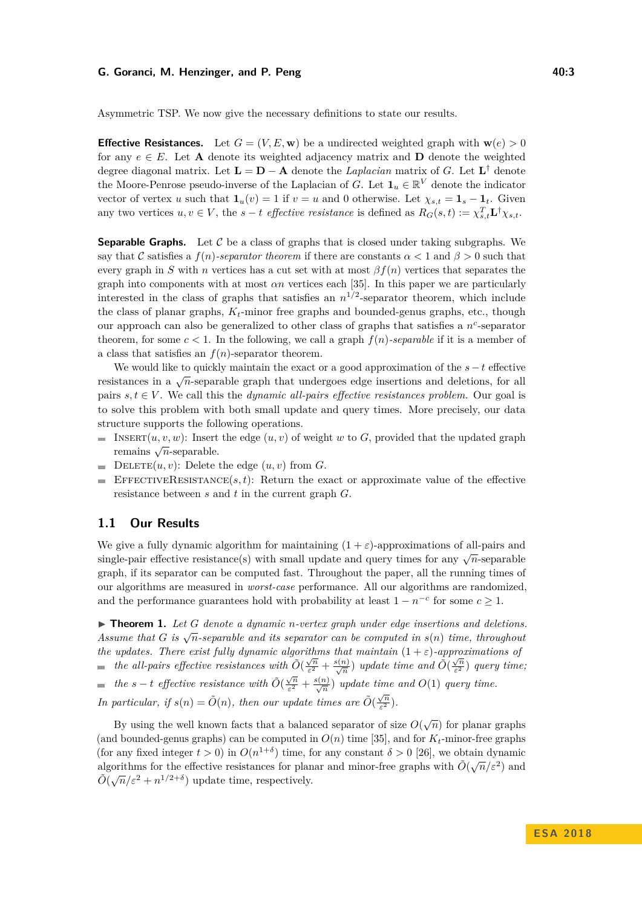#### **G. Goranci, M. Henzinger, and P. Peng 40:3 All and All and All and All and All and All and All and All and All and All and All and All and All and All and All and All and All and All and All and All and All and All and**

Asymmetric TSP. We now give the necessary definitions to state our results.

**Effective Resistances.** Let  $G = (V, E, \mathbf{w})$  be a undirected weighted graph with  $\mathbf{w}(e) > 0$ for any  $e \in E$ . Let **A** denote its weighted adjacency matrix and **D** denote the weighted degree diagonal matrix. Let  $\mathbf{L} = \mathbf{D} - \mathbf{A}$  denote the *Laplacian* matrix of *G*. Let  $\mathbf{L}^{\dagger}$  denote the Moore-Penrose pseudo-inverse of the Laplacian of *G*. Let  $\mathbf{1}_u \in \mathbb{R}^V$  denote the indicator vector of vertex *u* such that  $\mathbf{1}_u(v) = 1$  if  $v = u$  and 0 otherwise. Let  $\chi_{s,t} = \mathbf{1}_s - \mathbf{1}_t$ . Given any two vertices  $u, v \in V$ , the  $s - t$  *effective resistance* is defined as  $R_G(s, t) := \chi_{s,t}^T \mathbf{L}^\dagger \chi_{s,t}$ .

**Separable Graphs.** Let  $\mathcal{C}$  be a class of graphs that is closed under taking subgraphs. We say that C satisfies a  $f(n)$ *-separator theorem* if there are constants  $\alpha < 1$  and  $\beta > 0$  such that every graph in *S* with *n* vertices has a cut set with at most  $\beta f(n)$  vertices that separates the graph into components with at most  $\alpha n$  vertices each [\[35\]](#page-14-11). In this paper we are particularly interested in the class of graphs that satisfies an  $n^{1/2}$ -separator theorem, which include the class of planar graphs,  $K_t$ -minor free graphs and bounded-genus graphs, etc., though our approach can also be generalized to other class of graphs that satisfies a *n c* -separator theorem, for some  $c < 1$ . In the following, we call a graph  $f(n)$ -separable if it is a member of a class that satisfies an  $f(n)$ -separator theorem.

We would like to quickly maintain the exact or a good approximation of the *s*−*t* effective resistances in a  $\sqrt{n}$ -separable graph that undergoes edge insertions and deletions, for all pairs  $s, t \in V$ . We call this the *dynamic all-pairs effective resistances problem*. Our goal is to solve this problem with both small update and query times. More precisely, our data structure supports the following operations.

- $\blacksquare$ INSERT $(u, v, w)$ : Insert the edge  $(u, v)$  of weight *w* to *G*, provided that the updated graph  $\sum_{n=1}^{\infty} \frac{d^n}{n}$  remains  $\sqrt{n}$ -separable.
- **DELETE** $(u, v)$ : Delete the edge  $(u, v)$  from *G*.
- EFFECTIVERESISTANCE $(s, t)$ : Return the exact or approximate value of the effective resistance between *s* and *t* in the current graph *G*.

# **1.1 Our Results**

We give a fully dynamic algorithm for maintaining  $(1 + \varepsilon)$ -approximations of all-pairs and single-pair effective resistance(s) with small update and query times for any  $\sqrt{n}$ -separable graph, if its separator can be computed fast. Throughout the paper, all the running times of our algorithms are measured in *worst-case* performance. All our algorithms are randomized, and the performance guarantees hold with probability at least  $1 - n^{-c}$  for some  $c \geq 1$ .

<span id="page-2-0"></span>I **Theorem 1.** *Let G denote a dynamic n-vertex graph under edge insertions and deletions. Assume that*  $G$  *is*  $\sqrt{n}$ *-separable and its separator can be computed in*  $s(n)$  *time, throughout the updates. There exist fully dynamic algorithms that maintain*  $(1 + \varepsilon)$ *-approximations of the all-pairs effective resistances with*  $\tilde{O}(\frac{\sqrt{n}}{\varepsilon^2})$  $\frac{\sqrt{n}}{\varepsilon^2} + \frac{s(n)}{\sqrt{n}}$  *update time and*  $\tilde{O}(\frac{\sqrt{n}}{\varepsilon^2})$ *ε* <sup>2</sup> ) *query time; the s* − *t effective resistance with*  $\tilde{O}(\frac{\sqrt{n}}{c^2})$  $\frac{\sqrt{n}}{\varepsilon^2} + \frac{s(n)}{\sqrt{n}}$  *update time and O*(1) *query time. In particular, if*  $s(n) = \tilde{O}(n)$ *, then our update times are*  $\tilde{O}(\frac{\sqrt{n}}{\epsilon^2})$  $\frac{\sqrt{n}}{\varepsilon^2}$ ).

By using the well known facts that a balanced separator of size  $O(\sqrt{n})$  for planar graphs (and bounded-genus graphs) can be computed in  $O(n)$  time [\[35\]](#page-14-11), and for  $K_t$ -minor-free graphs (for any fixed integer  $t > 0$ ) in  $O(n^{1+\delta})$  time, for any constant  $\delta > 0$  [\[26\]](#page-13-9), we obtain dynamic algorithms for the effective resistances for planar and minor-free graphs with  $\tilde{O}(\sqrt{n}/\epsilon^2)$  and  $\tilde{O}(\sqrt{n}/\varepsilon^2 + n^{1/2+\delta})$  update time, respectively.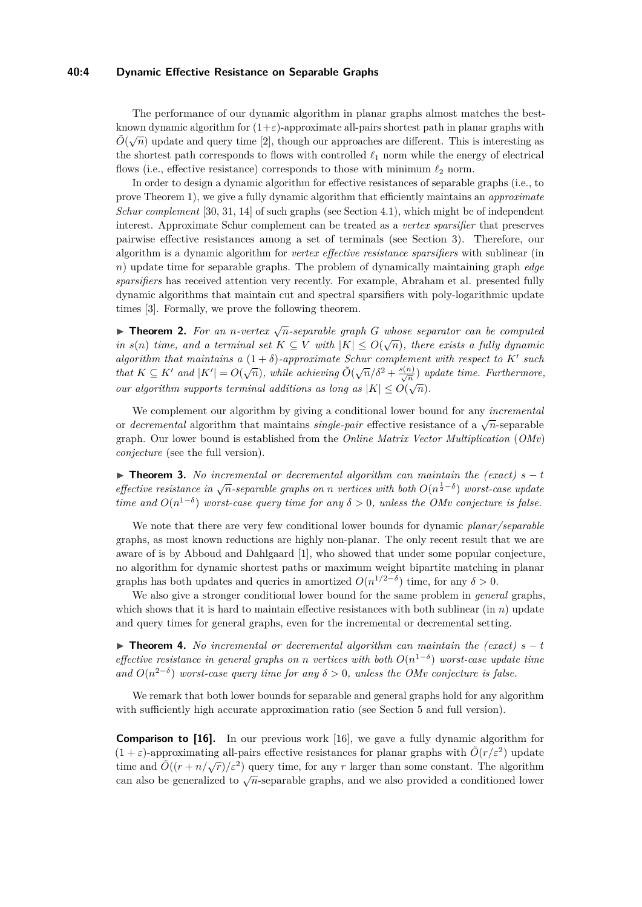#### **40:4 Dynamic Effective Resistance on Separable Graphs**

The performance of our dynamic algorithm in planar graphs almost matches the bestknown dynamic algorithm for  $(1+\varepsilon)$ -approximate all-pairs shortest path in planar graphs with  $\tilde{O}(\sqrt{n})$  update and query time [\[2\]](#page-12-7), though our approaches are different. This is interesting as the shortest path corresponds to flows with controlled  $\ell_1$  norm while the energy of electrical flows (i.e., effective resistance) corresponds to those with minimum  $\ell_2$  norm.

In order to design a dynamic algorithm for effective resistances of separable graphs (i.e., to prove Theorem [1\)](#page-2-0), we give a fully dynamic algorithm that efficiently maintains an *approximate Schur complement* [\[30,](#page-14-14) [31,](#page-14-15) [14\]](#page-13-5) of such graphs (see Section [4.1\)](#page-7-0), which might be of independent interest. Approximate Schur complement can be treated as a *vertex sparsifier* that preserves pairwise effective resistances among a set of terminals (see Section [3\)](#page-6-0). Therefore, our algorithm is a dynamic algorithm for *vertex effective resistance sparsifiers* with sublinear (in *n*) update time for separable graphs. The problem of dynamically maintaining graph *edge sparsifiers* has received attention very recently. For example, Abraham et al. presented fully dynamic algorithms that maintain cut and spectral sparsifiers with poly-logarithmic update times [\[3\]](#page-12-4). Formally, we prove the following theorem.

**Findment 2.** For an *n*-vertex  $\sqrt{n}$ -separable graph G whose separator can be computed *in*  $s(n)$  *time, and a terminal set*  $K \subseteq V$  *with*  $|K| \leq O(\sqrt{n})$ *, there exists a fully dynamic algorithm that maintains a*  $(1 + \delta)$ -*approximate Schur complement with respect to*  $K'$  such *that*  $K \subseteq K'$  and  $|K'| = O(\sqrt{n})$ , while achieving  $\tilde{O}(\sqrt{n}/\delta^2 + \frac{s(n)}{\sqrt{n}})$  update time. Furthermore, *our algorithm supports terminal additions as long as*  $|K| \leq O(\sqrt{n})$ .

We complement our algorithm by giving a conditional lower bound for any *incremental* or *decremental* algorithm that maintains *single-pair* effective resistance of a  $\sqrt{n}$ -separable graph. Our lower bound is established from the *Online Matrix Vector Multiplication* (*OMv*) *conjecture* (see the full version).

<span id="page-3-0"></span>**► Theorem 3.** No incremental or decremental algorithm can maintain the (exact)  $s - t$ *effective resistance in*  $\sqrt{n}$ -separable graphs on *n* vertices with both  $O(n^{\frac{1}{2}-\delta})$  worst-case update *time and*  $O(n^{1-\delta})$  *worst-case query time for any*  $\delta > 0$ *, unless the OMv conjecture is false.* 

We note that there are very few conditional lower bounds for dynamic *planar/separable* graphs, as most known reductions are highly non-planar. The only recent result that we are aware of is by Abboud and Dahlgaard [\[1\]](#page-12-8), who showed that under some popular conjecture, no algorithm for dynamic shortest paths or maximum weight bipartite matching in planar graphs has both updates and queries in amortized  $O(n^{1/2-\delta})$  time, for any  $\delta > 0$ .

We also give a stronger conditional lower bound for the same problem in *general* graphs, which shows that it is hard to maintain effective resistances with both sublinear (in *n*) update and query times for general graphs, even for the incremental or decremental setting.

**► Theorem 4.** *No incremental or decremental algorithm can maintain the (exact)*  $s - t$ *effective resistance in general graphs on <i>n vertices with both*  $O(n^{1-\delta})$  *worst-case update time and*  $O(n^{2-\delta})$  *worst-case query time for any*  $\delta > 0$ *, unless the OMv conjecture is false.* 

We remark that both lower bounds for separable and general graphs hold for any algorithm with sufficiently high accurate approximation ratio (see Section [5](#page-10-0) and full version).

**Comparison to [\[16\]](#page-13-10).** In our previous work [\[16\]](#page-13-10), we gave a fully dynamic algorithm for  $(1 + \varepsilon)$ -approximating all-pairs effective resistances for planar graphs with  $\tilde{O}(r/\varepsilon^2)$  update time and  $\tilde{O}((r + n/\sqrt{r})/\varepsilon^2)$  query time, for any *r* larger than some constant. The algorithm can also be generalized to  $\sqrt{n}$ -separable graphs, and we also provided a conditioned lower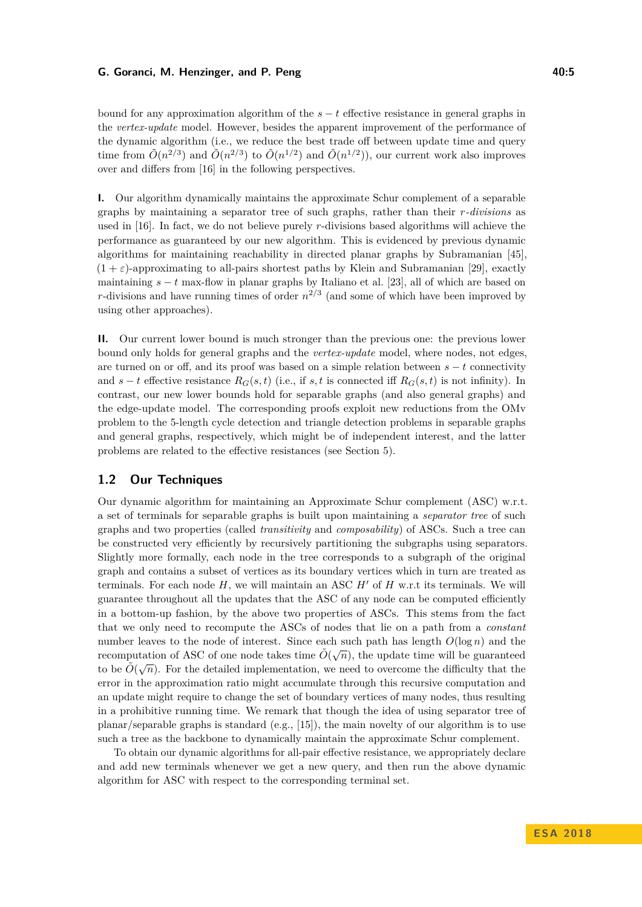#### **G. Goranci, M. Henzinger, and P. Peng 40:5** and the state of the state of the state of the state of the state of the state of the state of the state of the state of the state of the state of the state of the state of the

bound for any approximation algorithm of the  $s - t$  effective resistance in general graphs in the *vertex-update* model. However, besides the apparent improvement of the performance of the dynamic algorithm (i.e., we reduce the best trade off between update time and query time from  $\tilde{O}(n^{2/3})$  and  $\tilde{O}(n^{2/3})$  to  $\tilde{O}(n^{1/2})$  and  $\tilde{O}(n^{1/2})$ , our current work also improves over and differs from [\[16\]](#page-13-10) in the following perspectives.

**I.** Our algorithm dynamically maintains the approximate Schur complement of a separable graphs by maintaining a separator tree of such graphs, rather than their *r-divisions* as used in [\[16\]](#page-13-10). In fact, we do not believe purely *r*-divisions based algorithms will achieve the performance as guaranteed by our new algorithm. This is evidenced by previous dynamic algorithms for maintaining reachability in directed planar graphs by Subramanian [\[45\]](#page-14-16),  $(1 + \varepsilon)$ -approximating to all-pairs shortest paths by Klein and Subramanian [\[29\]](#page-14-17), exactly maintaining *s* − *t* max-flow in planar graphs by Italiano et al. [\[23\]](#page-13-11), all of which are based on *r*-divisions and have running times of order  $n^{2/3}$  (and some of which have been improved by using other approaches).

**II.** Our current lower bound is much stronger than the previous one: the previous lower bound only holds for general graphs and the *vertex-update* model, where nodes, not edges, are turned on or off, and its proof was based on a simple relation between *s* − *t* connectivity and  $s - t$  effective resistance  $R_G(s, t)$  (i.e., if s, t is connected iff  $R_G(s, t)$  is not infinity). In contrast, our new lower bounds hold for separable graphs (and also general graphs) and the edge-update model. The corresponding proofs exploit new reductions from the OMv problem to the 5-length cycle detection and triangle detection problems in separable graphs and general graphs, respectively, which might be of independent interest, and the latter problems are related to the effective resistances (see Section [5\)](#page-10-0).

## **1.2 Our Techniques**

Our dynamic algorithm for maintaining an Approximate Schur complement (ASC) w.r.t. a set of terminals for separable graphs is built upon maintaining a *separator tree* of such graphs and two properties (called *transitivity* and *composability*) of ASCs. Such a tree can be constructed very efficiently by recursively partitioning the subgraphs using separators. Slightly more formally, each node in the tree corresponds to a subgraph of the original graph and contains a subset of vertices as its boundary vertices which in turn are treated as terminals. For each node  $H$ , we will maintain an ASC  $H'$  of  $H$  w.r.t its terminals. We will guarantee throughout all the updates that the ASC of any node can be computed efficiently in a bottom-up fashion, by the above two properties of ASCs. This stems from the fact that we only need to recompute the ASCs of nodes that lie on a path from a *constant* number leaves to the node of interest. Since each such path has length  $O(\log n)$  and the recomputation of ASC of one node takes time  $\tilde{O}(\sqrt{n})$ , the update time will be guaranteed to be  $\tilde{O}(\sqrt{n})$ . For the detailed implementation, we need to overcome the difficulty that the error in the approximation ratio might accumulate through this recursive computation and an update might require to change the set of boundary vertices of many nodes, thus resulting in a prohibitive running time. We remark that though the idea of using separator tree of planar/separable graphs is standard (e.g., [\[15\]](#page-13-12)), the main novelty of our algorithm is to use such a tree as the backbone to dynamically maintain the approximate Schur complement.

To obtain our dynamic algorithms for all-pair effective resistance, we appropriately declare and add new terminals whenever we get a new query, and then run the above dynamic algorithm for ASC with respect to the corresponding terminal set.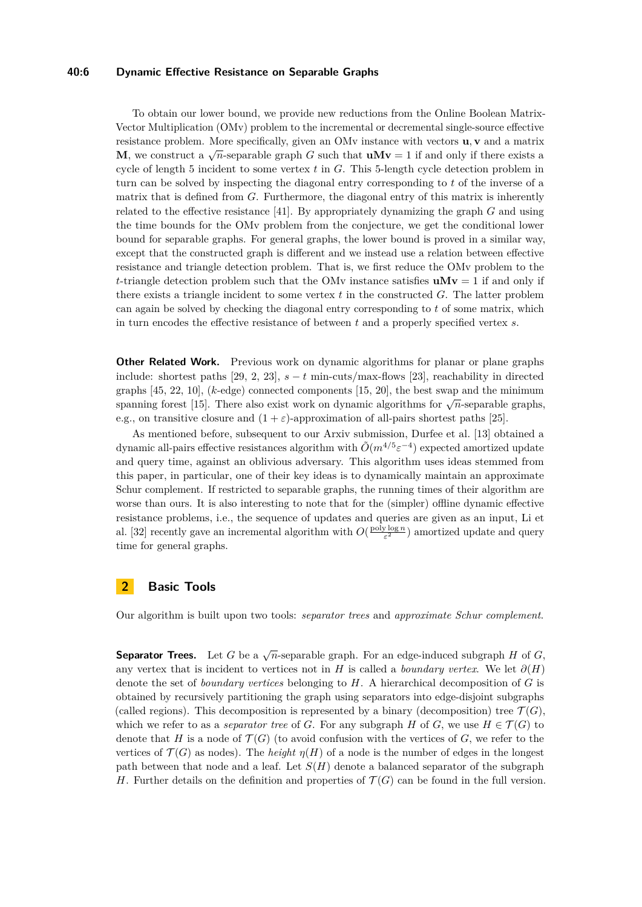#### **40:6 Dynamic Effective Resistance on Separable Graphs**

To obtain our lower bound, we provide new reductions from the Online Boolean Matrix-Vector Multiplication (OMv) problem to the incremental or decremental single-source effective resistance problem. More specifically, given an OMv instance with vectors **u***,* **v** and a matrix **M**, we construct a  $\sqrt{n}$ -separable graph *G* such that  $uMv = 1$  if and only if there exists a cycle of length 5 incident to some vertex *t* in *G*. This 5-length cycle detection problem in turn can be solved by inspecting the diagonal entry corresponding to *t* of the inverse of a matrix that is defined from *G*. Furthermore, the diagonal entry of this matrix is inherently related to the effective resistance [\[41\]](#page-14-18). By appropriately dynamizing the graph *G* and using the time bounds for the OMv problem from the conjecture, we get the conditional lower bound for separable graphs. For general graphs, the lower bound is proved in a similar way, except that the constructed graph is different and we instead use a relation between effective resistance and triangle detection problem. That is, we first reduce the OMv problem to the *t*-triangle detection problem such that the OMv instance satisfies  $uMv = 1$  if and only if there exists a triangle incident to some vertex *t* in the constructed *G*. The latter problem can again be solved by checking the diagonal entry corresponding to *t* of some matrix, which in turn encodes the effective resistance of between *t* and a properly specified vertex *s*.

**Other Related Work.** Previous work on dynamic algorithms for planar or plane graphs include: shortest paths [\[29,](#page-14-17) [2,](#page-12-7) [23\]](#page-13-11),  $s - t$  min-cuts/max-flows [\[23\]](#page-13-11), reachability in directed graphs [\[45,](#page-14-16) [22,](#page-13-13) [10\]](#page-13-14), (*k*-edge) connected components [\[15,](#page-13-12) [20\]](#page-13-15), the best swap and the minimum spanning forest [\[15\]](#page-13-12). There also exist work on dynamic algorithms for  $\sqrt{n}$ -separable graphs, e.g., on transitive closure and  $(1 + \varepsilon)$ -approximation of all-pairs shortest paths [\[25\]](#page-13-16).

As mentioned before, subsequent to our Arxiv submission, Durfee et al. [\[13\]](#page-13-8) obtained a dynamic all-pairs effective resistances algorithm with  $\tilde{O}(m^{4/5} \varepsilon^{-4})$  expected amortized update and query time, against an oblivious adversary. This algorithm uses ideas stemmed from this paper, in particular, one of their key ideas is to dynamically maintain an approximate Schur complement. If restricted to separable graphs, the running times of their algorithm are worse than ours. It is also interesting to note that for the (simpler) offline dynamic effective resistance problems, i.e., the sequence of updates and queries are given as an input, Li et al. [\[32\]](#page-14-19) recently gave an incremental algorithm with  $O(\frac{\text{poly}\log n}{\varepsilon^2})$  amortized update and query time for general graphs.

# **2 Basic Tools**

Our algorithm is built upon two tools: *separator trees* and *approximate Schur complement*.

**Separator Trees.** Let *G* be a  $\sqrt{n}$ -separable graph. For an edge-induced subgraph *H* of *G*, any vertex that is incident to vertices not in *H* is called a *boundary vertex*. We let  $\partial(H)$ denote the set of *boundary vertices* belonging to *H*. A hierarchical decomposition of *G* is obtained by recursively partitioning the graph using separators into edge-disjoint subgraphs (called regions). This decomposition is represented by a binary (decomposition) tree  $\mathcal{T}(G)$ , which we refer to as a *separator tree* of *G*. For any subgraph *H* of *G*, we use  $H \in \mathcal{T}(G)$  to denote that *H* is a node of  $\mathcal{T}(G)$  (to avoid confusion with the vertices of *G*, we refer to the vertices of  $\mathcal{T}(G)$  as nodes). The *height*  $\eta(H)$  of a node is the number of edges in the longest path between that node and a leaf. Let  $S(H)$  denote a balanced separator of the subgraph *H*. Further details on the definition and properties of  $\mathcal{T}(G)$  can be found in the full version.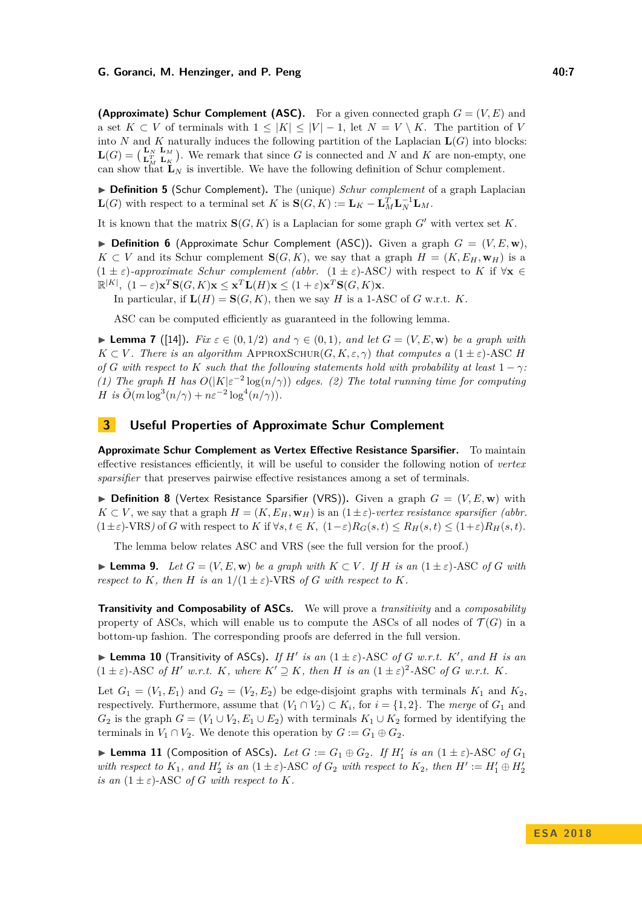#### **G. Goranci, M. Henzinger, and P. Peng 40:7**

**(Approximate) Schur Complement (ASC).** For a given connected graph  $G = (V, E)$  and a set  $K \subset V$  of terminals with  $1 \leq |K| \leq |V| - 1$ , let  $N = V \setminus K$ . The partition of *V* into *N* and *K* naturally induces the following partition of the Laplacian  $\mathbf{L}(G)$  into blocks:  $\mathbf{L}(G) = \begin{pmatrix} \mathbf{L}_N & \mathbf{L}_M \\ \mathbf{L}_M^T & \mathbf{L}_K \end{pmatrix}$ . We remark that since G is connected and N and K are non-empty, one can show that  $\mathbf{L}_N$  is invertible. We have the following definition of Schur complement.

▶ **Definition 5** (Schur Complement). The (unique) *Schur complement* of a graph Laplacian **L**(*G*) with respect to a terminal set *K* is  $\mathbf{S}(G, K) := \mathbf{L}_K - \mathbf{L}_M^T \mathbf{L}_N^{-1} \mathbf{L}_M$ .

It is known that the matrix  $\mathbf{S}(G, K)$  is a Laplacian for some graph  $G'$  with vertex set K.

**Definition 6** (Approximate Schur Complement (ASC)). Given a graph  $G = (V, E, \mathbf{w})$ , *K* ⊂ *V* and its Schur complement **S**(*G, K*), we say that a graph *H* = (*K, E<sub>H</sub>*, **w**<sub>*H*</sub>) is a  $(1 \pm \varepsilon)$ -approximate Schur complement (abbr.  $(1 \pm \varepsilon)$ -ASC) with respect to *K* if  $\forall$ **x**  $\in$  $\mathbb{R}^{|K|}, (1-\varepsilon)\mathbf{x}^T\mathbf{S}(G,K)\mathbf{x} \leq \mathbf{x}^T\mathbf{L}(H)\mathbf{x} \leq (1+\varepsilon)\mathbf{x}^T\mathbf{S}(G,K)\mathbf{x}$ .

In particular, if  $L(H) = S(G, K)$ , then we say *H* is a 1-ASC of *G* w.r.t. *K*.

ASC can be computed efficiently as guaranteed in the following lemma.

<span id="page-6-1"></span>**Lemma 7** ([\[14\]](#page-13-5)). *Fix*  $\varepsilon \in (0,1/2)$  *and*  $\gamma \in (0,1)$ *, and let*  $G = (V, E, \mathbf{w})$  *be a graph with*  $K \subset V$ *. There is an algorithm* APPROXSCHUR(*G, K, ε,*  $\gamma$ *) that computes a* (1 ± *ε*)*-ASC H of G* with respect to *K* such that the following statements hold with probability at least  $1 - \gamma$ *: (1)* The graph *H* has  $O(|K|\varepsilon^{-2} \log(n/\gamma))$  edges. *(2)* The total running time for computing *H is*  $\tilde{O}(m \log^3(n/\gamma) + n\varepsilon^{-2} \log^4(n/\gamma)).$ 

## <span id="page-6-0"></span>**3 Useful Properties of Approximate Schur Complement**

**Approximate Schur Complement as Vertex Effective Resistance Sparsifier.** To maintain effective resistances efficiently, it will be useful to consider the following notion of *vertex sparsifier* that preserves pairwise effective resistances among a set of terminals.

**Definition 8** (Vertex Resistance Sparsifier (VRS)). Given a graph  $G = (V, E, \mathbf{w})$  with  $K \subset V$ , we say that a graph  $H = (K, E_H, \mathbf{w}_H)$  is an  $(1 \pm \varepsilon)$ -*vertex resistance sparsifier (abbr.*  $(1 \pm \varepsilon)$ -VRS) of *G* with respect to *K* if  $\forall s, t \in K$ ,  $(1-\varepsilon)R_G(s,t) \leq R_H(s,t) \leq (1+\varepsilon)R_H(s,t)$ .

The lemma below relates ASC and VRS (see the full version for the proof.)

<span id="page-6-4"></span>► **Lemma 9.** Let  $G = (V, E, \mathbf{w})$  be a graph with  $K \subset V$ . If  $H$  is an  $(1 \pm \varepsilon)$ -ASC of  $G$  with *respect to K, then H is an*  $1/(1 \pm \varepsilon)$ -VRS *of G with respect to K.* 

**Transitivity and Composability of ASCs.** We will prove a *transitivity* and a *composability* property of ASCs, which will enable us to compute the ASCs of all nodes of  $\mathcal{T}(G)$  in a bottom-up fashion. The corresponding proofs are deferred in the full version.

<span id="page-6-3"></span>**Example 10** (Transitivity of ASCs). If  $H'$  is an  $(1 \pm \varepsilon)$ -ASC of *G* w.r.t. *K'*, and *H* is an  $(1 \pm \varepsilon)$ -ASC of *H'* w.r.t. *K*, where  $K' \supseteq K$ , then *H* is an  $(1 \pm \varepsilon)^2$ -ASC of *G* w.r.t. *K*.

Let  $G_1 = (V_1, E_1)$  and  $G_2 = (V_2, E_2)$  be edge-disjoint graphs with terminals  $K_1$  and  $K_2$ , respectively. Furthermore, assume that  $(V_1 \cap V_2) \subset K_i$ , for  $i = \{1, 2\}$ . The *merge* of  $G_1$  and *G*<sub>2</sub> is the graph  $G = (V_1 ∪ V_2, E_1 ∪ E_2)$  with terminals  $K_1 ∪ K_2$  formed by identifying the terminals in  $V_1 \cap V_2$ . We denote this operation by  $G := G_1 \oplus G_2$ .

<span id="page-6-2"></span>▶ **Lemma 11** (Composition of ASCs). *Let*  $G := G_1 ⊕ G_2$ . *If*  $H'_1$  *is an*  $(1 ± ε)$ -ASC of  $G_1$ *with respect to*  $K_1$ *, and*  $H'_2$  *is an*  $(1 \pm \varepsilon)$ -ASC *of*  $G_2$  *with respect to*  $K_2$ *, then*  $H' := H'_1 \oplus H'_2$ *is an*  $(1 \pm \varepsilon)$ -ASC *of G with respect to K.*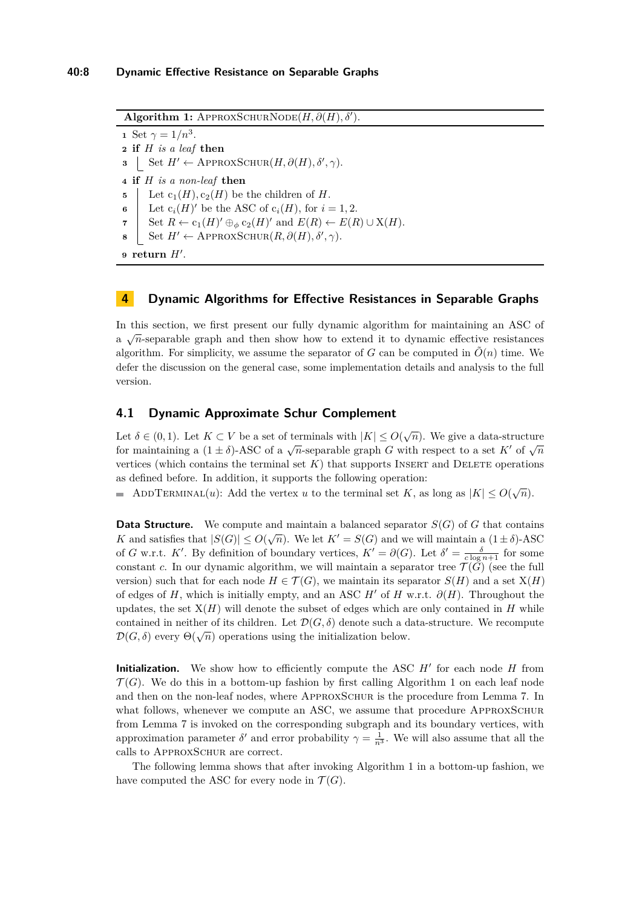$\textbf{Algorithm 1: } \text{APPROXSCHURNODE}(H, \partial(H), \delta').$ 

<span id="page-7-1"></span> Set  $\gamma = 1/n^3$ . **if** *H is a leaf* **then** Set  $H' \leftarrow \text{APPROXSCHUR}(H, \partial(H), \delta', \gamma)$ . **if** *H is a non-leaf* **then** Let  $c_1(H)$ ,  $c_2(H)$  be the children of *H*.

**6** Elect  $c_i(H)$ ' be the ASC of  $c_i(H)$ , for  $i = 1, 2$ .

**7** Set  $R \leftarrow c_1(H)' \oplus_{\phi} c_2(H)'$  and  $E(R) \leftarrow E(R) \cup X(H)$ .

**8** Set  $H' \leftarrow \text{APPROXSCHUR}(R, \partial(H), \delta', \gamma)$ .

 $9$  **return**  $H'$ .

## **4 Dynamic Algorithms for Effective Resistances in Separable Graphs**

In this section, we first present our fully dynamic algorithm for maintaining an ASC of  $a \sqrt{n}$ -separable graph and then show how to extend it to dynamic effective resistances algorithm. For simplicity, we assume the separator of *G* can be computed in  $\tilde{O}(n)$  time. We defer the discussion on the general case, some implementation details and analysis to the full version.

## <span id="page-7-0"></span>**4.1 Dynamic Approximate Schur Complement**

Let  $\delta \in (0,1)$ . Let  $K \subset V$  be a set of terminals with  $|K| \leq O(\sqrt{n})$ . We give a data-structure for maintaining a  $(1 \pm \delta)$ -ASC of a  $\sqrt{n}$ -separable graph *G* with respect to a set *K'* of  $\sqrt{n}$ vertices (which contains the terminal set  $K$ ) that supports INSERT and DELETE operations as defined before. In addition, it supports the following operation:

ADDTERMINAL(*u*): Add the vertex *u* to the terminal set *K*, as long as  $|K| \leq O(\sqrt{n})$ .

**Data Structure.** We compute and maintain a balanced separator  $S(G)$  of *G* that contains *K* and satisfies that  $|S(G)| \leq O(\sqrt{n})$ . We let  $K' = S(G)$  and we will maintain a  $(1 \pm \delta)$ -ASC of *G* w.r.t. *K'*. By definition of boundary vertices,  $K' = \partial(G)$ . Let  $\delta' = \frac{\delta}{c \log n + 1}$  for some constant *c*. In our dynamic algorithm, we will maintain a separator tree  $\mathcal{T}(\tilde{G})$  (see the full version) such that for each node  $H \in \mathcal{T}(G)$ , we maintain its separator  $S(H)$  and a set  $X(H)$ of edges of *H*, which is initially empty, and an ASC *H'* of *H* w.r.t.  $\partial(H)$ . Throughout the updates, the set  $X(H)$  will denote the subset of edges which are only contained in  $H$  while contained in neither of its children. Let  $\mathcal{D}(G,\delta)$  denote such a data-structure. We recompute  $\mathcal{D}(G,\delta)$  every  $\Theta(\sqrt{n})$  operations using the initialization below.

**Initialization.** We show how to efficiently compute the ASC  $H'$  for each node  $H$  from  $\mathcal{T}(G)$ . We do this in a bottom-up fashion by first calling Algorithm [1](#page-7-1) on each leaf node and then on the non-leaf nodes, where APPROXSCHUR is the procedure from Lemma [7.](#page-6-1) In what follows, whenever we compute an ASC, we assume that procedure APPROXSCHUR from Lemma [7](#page-6-1) is invoked on the corresponding subgraph and its boundary vertices, with approximation parameter  $\delta'$  and error probability  $\gamma = \frac{1}{n^3}$ . We will also assume that all the calls to ApproxSchur are correct.

The following lemma shows that after invoking Algorithm [1](#page-7-1) in a bottom-up fashion, we have computed the ASC for every node in  $\mathcal{T}(G)$ .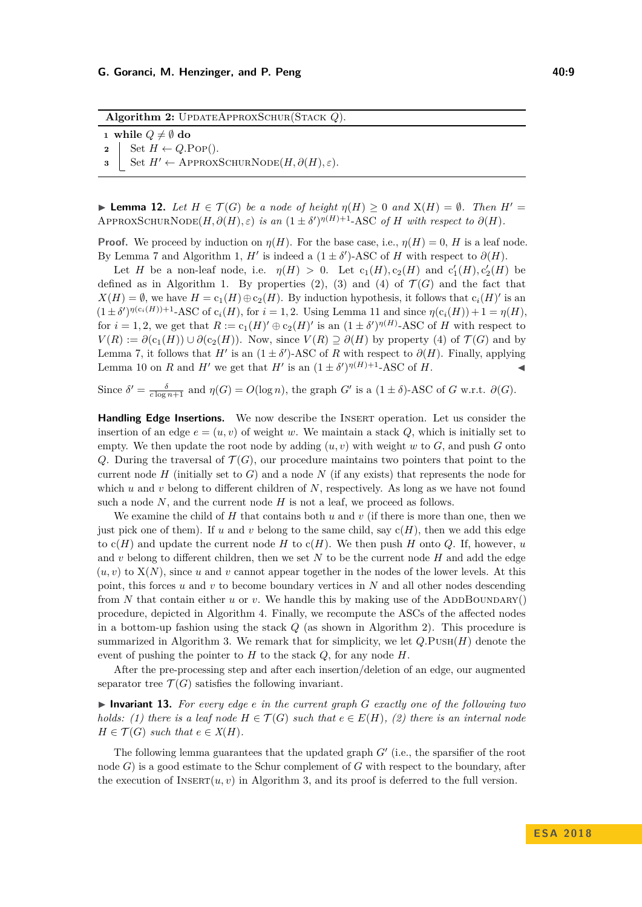**Algorithm 2:** UpdateApproxSchur(Stack *Q*).

<span id="page-8-0"></span>**1 while**  $Q \neq \emptyset$  **do 2** Set  $H \leftarrow Q.\text{POP}$ .

**3** Set  $H' \leftarrow$  APPROXSCHURNODE( $H, \partial(H), \varepsilon$ ).

► **Lemma 12.** Let  $H \in \mathcal{T}(G)$  be a node of height  $\eta(H) \geq 0$  and  $X(H) = \emptyset$ . Then  $H' =$  $\text{APPROXSCHURNODE}(H, \partial(H), \varepsilon)$  *is an*  $(1 \pm \delta')^{\eta(H)+1}$ -ASC of *H* with respect to  $\partial(H)$ .

**Proof.** We proceed by induction on  $\eta(H)$ . For the base case, i.e.,  $\eta(H) = 0$ , *H* is a leaf node. By Lemma [7](#page-6-1) and Algorithm [1,](#page-7-1) *H*<sup> $\prime$ </sup> is indeed a (1 ± *δ* $\prime$ )-ASC of *H* with respect to  $\partial(H)$ .

Let *H* be a non-leaf node, i.e.  $\eta(H) > 0$ . Let  $c_1(H), c_2(H)$  and  $c'_1(H), c'_2(H)$  be defined as in Algorithm [1.](#page-7-1) By properties  $(2)$ ,  $(3)$  and  $(4)$  of  $\mathcal{T}(G)$  and the fact that  $X(H) = \emptyset$ , we have  $H = c_1(H) \oplus c_2(H)$ . By induction hypothesis, it follows that  $c_i(H)'$  is an  $(1 \pm \delta')^{\eta(c_i(H))+1}$ -ASC of  $c_i(H)$ , for  $i = 1, 2$ . Using Lemma [11](#page-6-2) and since  $\eta(c_i(H)) + 1 = \eta(H)$ , for  $i = 1, 2$ , we get that  $R := c_1(H)' \oplus c_2(H)'$  is an  $(1 \pm \delta')^{\eta(H)}$ -ASC of *H* with respect to *V*(*R*) :=  $\partial(c_1(H)) \cup \partial(c_2(H))$ . Now, since *V*(*R*) ⊇  $\partial(H)$  by property (4) of *T*(*G*) and by Lemma [7,](#page-6-1) it follows that *H*<sup> $\prime$ </sup> is an (1 ± *δ* $\prime$ )-ASC of *R* with respect to  $\partial(H)$ . Finally, applying Lemma [10](#page-6-3) on *R* and *H*<sup> $\prime$ </sup> we get that *H*<sup> $\prime$ </sup> is an  $(1 \pm \delta')^{\eta(H)+1}$ -ASC of *H*.

Since  $\delta' = \frac{\delta}{c \log n + 1}$  and  $\eta(G) = O(\log n)$ , the graph *G*<sup>0</sup> is a  $(1 \pm \delta)$ -ASC of *G* w.r.t.  $\partial(G)$ .

Handling Edge Insertions. We now describe the INSERT operation. Let us consider the insertion of an edge  $e = (u, v)$  of weight *w*. We maintain a stack *Q*, which is initially set to empty. We then update the root node by adding  $(u, v)$  with weight *w* to  $G$ , and push  $G$  onto *Q*. During the traversal of  $\mathcal{T}(G)$ , our procedure maintains two pointers that point to the current node  $H$  (initially set to  $G$ ) and a node  $N$  (if any exists) that represents the node for which *u* and *v* belong to different children of *N*, respectively. As long as we have not found such a node *N*, and the current node *H* is not a leaf, we proceed as follows.

We examine the child of *H* that contains both *u* and *v* (if there is more than one, then we just pick one of them). If  $u$  and  $v$  belong to the same child, say  $c(H)$ , then we add this edge to  $c(H)$  and update the current node  $H$  to  $c(H)$ . We then push  $H$  onto  $Q$ . If, however,  $u$ and *v* belong to different children, then we set *N* to be the current node *H* and add the edge  $(u, v)$  to  $X(N)$ , since *u* and *v* cannot appear together in the nodes of the lower levels. At this point, this forces *u* and *v* to become boundary vertices in *N* and all other nodes descending from N that contain either  $u$  or  $v$ . We handle this by making use of the ADDBOUNDARY() procedure, depicted in Algorithm [4.](#page-9-0) Finally, we recompute the ASCs of the affected nodes in a bottom-up fashion using the stack *Q* (as shown in Algorithm [2\)](#page-8-0). This procedure is summarized in Algorithm [3.](#page-9-1) We remark that for simplicity, we let  $Q.\text{PUSH}(H)$  denote the event of pushing the pointer to *H* to the stack *Q*, for any node *H*.

After the pre-processing step and after each insertion/deletion of an edge, our augmented separator tree  $\mathcal{T}(G)$  satisfies the following invariant.

▶ Invariant 13. For every edge *e* in the current graph *G* exactly one of the following two *holds: (1) there is a leaf node*  $H \in \mathcal{T}(G)$  *such that*  $e \in E(H)$ *, (2) there is an internal node*  $H \in \mathcal{T}(G)$  *such that*  $e \in X(H)$ *.* 

The following lemma guarantees that the updated graph  $G'$  (i.e., the sparsifier of the root node *G*) is a good estimate to the Schur complement of *G* with respect to the boundary, after the execution of  $\text{INBERT}(u, v)$  in Algorithm [3,](#page-9-1) and its proof is deferred to the full version.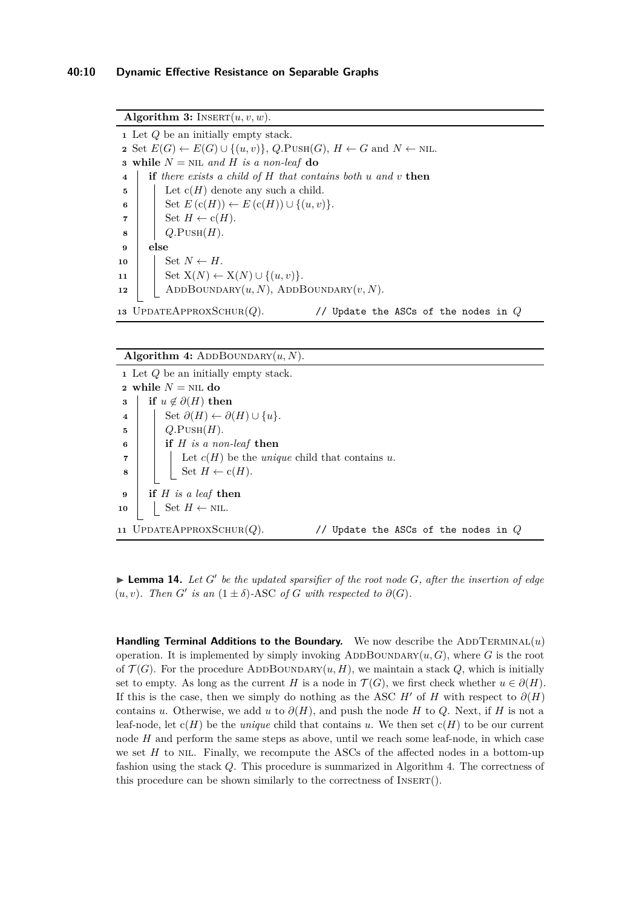<span id="page-9-1"></span>**Algorithm 3:** INSERT $(u, v, w)$ . Let *Q* be an initially empty stack. Set  $E(G) \leftarrow E(G) \cup \{(u, v)\}, Q.P \cup \text{MH}(G), H \leftarrow G \text{ and } N \leftarrow \text{NIL}.$  **while**  $N = \text{NIL}$  *and*  $H$  *is a non-leaf* **do if** *there exists a child of H that contains both u and v* **then** | Let  $c(H)$  denote any such a child.  $\vert$  Set  $E(c(H)) \leftarrow E(c(H)) \cup \{(u, v)\}.$  | Set  $H \leftarrow c(H)$ .  $\mathbf{8}$  |  $Q.\text{PUSH}(H).$ **9 else** Set  $N \leftarrow H$ . 11 | Set  $X(N) \leftarrow X(N) \cup \{(u, v)\}.$ 12 | ADDBOUNDARY $(u, N)$ , ADDBOUNDARY $(v, N)$ . UpdateApproxSchur(*Q*). // Update the ASCs of the nodes in *Q*

#### Algorithm 4:  $ADDBOUNDARY(u, N)$ .

<span id="page-9-0"></span>

| $\bullet$ Let $Q$ be an initially empty stack. |                                                                        |
|------------------------------------------------|------------------------------------------------------------------------|
| 2 while $N = NI$ . do                          |                                                                        |
| 3                                              | if $u \notin \partial(H)$ then                                         |
| $\overline{\mathbf{4}}$                        | Set $\partial(H) \leftarrow \partial(H) \cup \{u\}.$                   |
| 5                                              | $Q.\text{PUSH}(H).$                                                    |
| 6                                              | if $H$ is a non-leaf then                                              |
| $\overline{7}$                                 | Let $c(H)$ be the <i>unique</i> child that contains u.                 |
| $\mathbf{8}$                                   | Set $H \leftarrow c(H)$ .                                              |
| $\bf{9}$                                       | if $H$ is a leaf then                                                  |
|                                                |                                                                        |
| 10                                             | Set $H \leftarrow \text{NIL}$ .                                        |
|                                                | 11 UPDATEAPPROXSCHUR $(Q)$ .<br>// Update the ASCs of the nodes in $Q$ |

 $\blacktriangleright$  **Lemma 14.** Let  $G'$  be the updated sparsifier of the root node  $G$ , after the insertion of edge  $(u, v)$ *. Then G' is an*  $(1 \pm \delta)$ -ASC *of G with respected to*  $\partial(G)$ *.* 

**Handling Terminal Additions to the Boundary.** We now describe the ADDTERMINAL(*u*) operation. It is implemented by simply invoking ADDBOUNDARY $(u, G)$ , where G is the root of  $\mathcal{T}(G)$ . For the procedure ADDBOUNDARY $(u, H)$ , we maintain a stack  $Q$ , which is initially set to empty. As long as the current *H* is a node in  $\mathcal{T}(G)$ , we first check whether  $u \in \partial(H)$ . If this is the case, then we simply do nothing as the ASC *H'* of *H* with respect to  $\partial(H)$ contains *u*. Otherwise, we add *u* to  $\partial(H)$ , and push the node *H* to *Q*. Next, if *H* is not a leaf-node, let  $c(H)$  be the *unique* child that contains *u*. We then set  $c(H)$  to be our current node *H* and perform the same steps as above, until we reach some leaf-node, in which case we set *H* to NIL. Finally, we recompute the ASCs of the affected nodes in a bottom-up fashion using the stack *Q*. This procedure is summarized in Algorithm [4.](#page-9-0) The correctness of this procedure can be shown similarly to the correctness of Insert().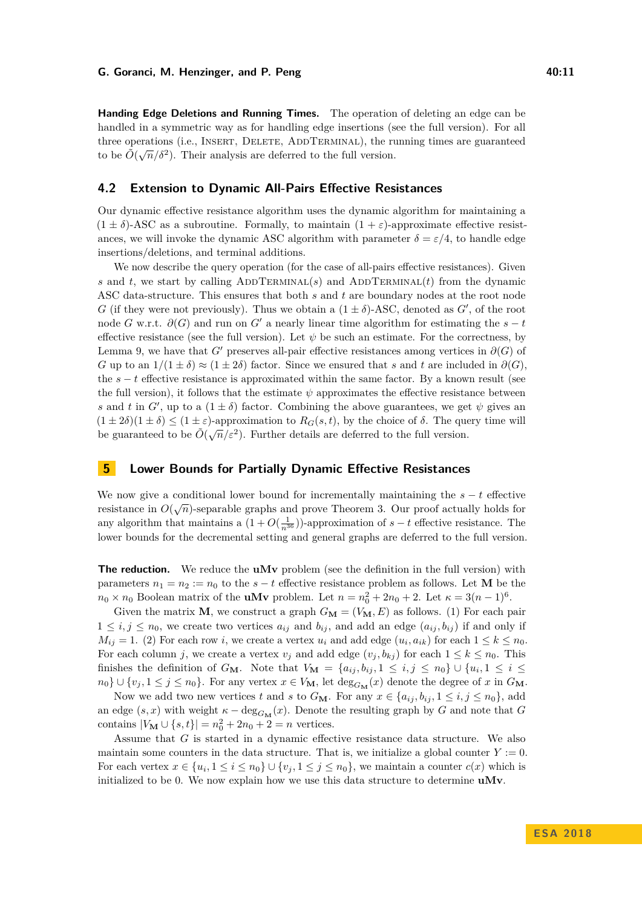#### **G. Goranci, M. Henzinger, and P. Peng 40:11**

**Handing Edge Deletions and Running Times.** The operation of deleting an edge can be handled in a symmetric way as for handling edge insertions (see the full version). For all three operations (i.e., INSERT, DELETE, ADDTERMINAL), the running times are guaranteed to be  $\tilde{O}(\sqrt{n}/\delta^2)$ . Their analysis are deferred to the full version.

## **4.2 Extension to Dynamic All-Pairs Effective Resistances**

Our dynamic effective resistance algorithm uses the dynamic algorithm for maintaining a  $(1 \pm \delta)$ -ASC as a subroutine. Formally, to maintain  $(1 + \varepsilon)$ -approximate effective resistances, we will invoke the dynamic ASC algorithm with parameter  $\delta = \varepsilon/4$ , to handle edge insertions/deletions, and terminal additions.

We now describe the query operation (for the case of all-pairs effective resistances). Given *s* and *t*, we start by calling ADDTERMINAL(*s*) and ADDTERMINAL(*t*) from the dynamic ASC data-structure. This ensures that both *s* and *t* are boundary nodes at the root node *G* (if they were not previously). Thus we obtain a  $(1 \pm \delta)$ -ASC, denoted as *G'*, of the root node *G* w.r.t.  $\partial(G)$  and run on *G*<sup> $\prime$ </sup> a nearly linear time algorithm for estimating the  $s - t$ effective resistance (see the full version). Let  $\psi$  be such an estimate. For the correctness, by Lemma [9,](#page-6-4) we have that *G*<sup> $\prime$ </sup> preserves all-pair effective resistances among vertices in  $\partial(G)$  of *G* up to an  $1/(1 \pm \delta) \approx (1 \pm 2\delta)$  factor. Since we ensured that *s* and *t* are included in  $\partial(G)$ . the  $s - t$  effective resistance is approximated within the same factor. By a known result (see the full version), it follows that the estimate  $\psi$  approximates the effective resistance between *s* and *t* in *G*<sup> $\prime$ </sup>, up to a  $(1 \pm \delta)$  factor. Combining the above guarantees, we get  $\psi$  gives an  $(1 \pm 2\delta)(1 \pm \delta) \leq (1 \pm \varepsilon)$ -approximation to  $R_G(s,t)$ , by the choice of  $\delta$ . The query time will be guaranteed to be  $\tilde{O}(\sqrt{n}/\varepsilon^2)$ . Further details are deferred to the full version.

# <span id="page-10-0"></span>**5 Lower Bounds for Partially Dynamic Effective Resistances**

We now give a conditional lower bound for incrementally maintaining the  $s - t$  effective resistance in  $O(\sqrt{n})$ -separable graphs and prove Theorem [3.](#page-3-0) Our proof actually holds for any algorithm that maintains a  $(1 + O(\frac{1}{n^{36}}))$ -approximation of  $s - t$  effective resistance. The lower bounds for the decremental setting and general graphs are deferred to the full version.

**The reduction.** We reduce the **uMv** problem (see the definition in the full version) with parameters  $n_1 = n_2 := n_0$  to the  $s - t$  effective resistance problem as follows. Let **M** be the  $n_0 \times n_0$  Boolean matrix of the **uMv** problem. Let  $n = n_0^2 + 2n_0 + 2$ . Let  $\kappa = 3(n-1)^6$ .

Given the matrix **M**, we construct a graph  $G_{\mathbf{M}} = (V_{\mathbf{M}}, E)$  as follows. (1) For each pair  $1 \leq i, j \leq n_0$ , we create two vertices  $a_{ij}$  and  $b_{ij}$ , and add an edge  $(a_{ij}, b_{ij})$  if and only if  $M_{ij} = 1$ . (2) For each row *i*, we create a vertex  $u_i$  and add edge  $(u_i, a_{ik})$  for each  $1 \leq k \leq n_0$ . For each column *j*, we create a vertex  $v_j$  and add edge  $(v_j, b_{kj})$  for each  $1 \leq k \leq n_0$ . This finishes the definition of  $G_M$ . Note that  $V_M = \{a_{ij}, b_{ij}, 1 \leq i, j \leq n_0\} \cup \{u_i, 1 \leq i \leq n_0\}$  $n_0$   $\}$   $\cup$   $\{v_j, 1 \leq j \leq n_0\}$ . For any vertex  $x \in V_M$ , let  $\deg_{G_M}(x)$  denote the degree of *x* in  $G_M$ .

Now we add two new vertices *t* and *s* to  $G_M$ . For any  $x \in \{a_{ij}, b_{ij}, 1 \le i, j \le n_0\}$ , add an edge  $(s, x)$  with weight  $\kappa - \deg_{G_{\mathbf{M}}}(x)$ . Denote the resulting graph by *G* and note that *G* contains  $|V_{\mathbf{M}} \cup \{s, t\}| = n_0^2 + 2n_0 + 2 = n$  vertices.

Assume that *G* is started in a dynamic effective resistance data structure. We also maintain some counters in the data structure. That is, we initialize a global counter  $Y := 0$ . For each vertex  $x \in \{u_i, 1 \le i \le n_0\} \cup \{v_j, 1 \le j \le n_0\}$ , we maintain a counter  $c(x)$  which is initialized to be 0. We now explain how we use this data structure to determine **uMv**.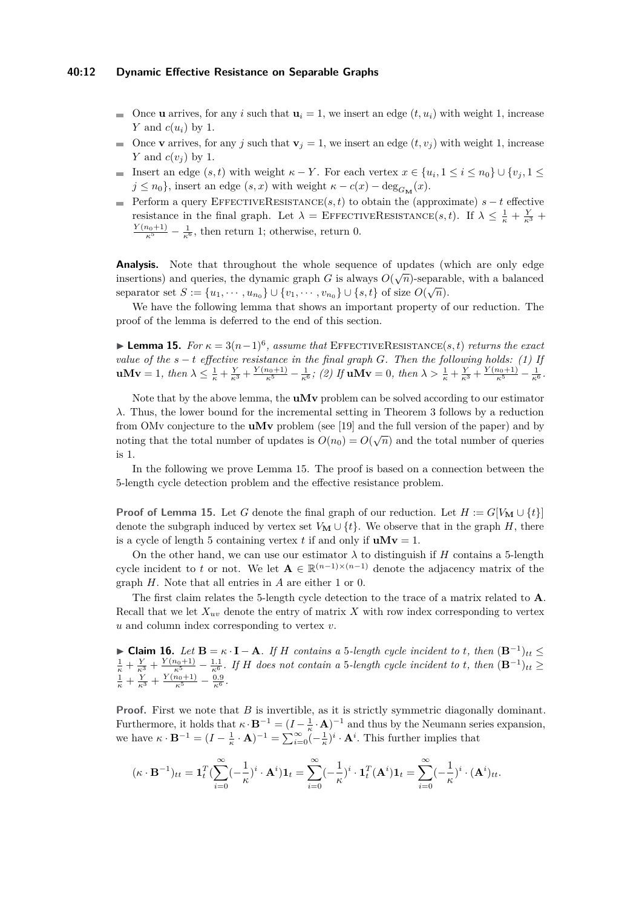#### **40:12 Dynamic Effective Resistance on Separable Graphs**

- Once **u** arrives, for any *i* such that  $\mathbf{u}_i = 1$ , we insert an edge  $(t, u_i)$  with weight 1, increase *Y* and *c*(*ui*) by 1.
- Once **v** arrives, for any *j* such that  $\mathbf{v}_i = 1$ , we insert an edge  $(t, v_i)$  with weight 1, increase *Y* and *c*(*v<sup>j</sup>* ) by 1.
- Insert an edge  $(s, t)$  with weight  $\kappa Y$ . For each vertex  $x \in \{u_i, 1 \le i \le n_0\} \cup \{v_j, 1 \le j \le n_0\}$  $j \leq n_0$ , insert an edge  $(s, x)$  with weight  $\kappa - c(x) - \deg_{G_M}(x)$ .
- Perform a query EffectiveResistance(*s, t*) to obtain the (approximate) *s* − *t* effective resistance in the final graph. Let  $\lambda = \text{EFFECTIVERESSIONCE}(s, t)$ . If  $\lambda \leq \frac{1}{\kappa} + \frac{Y}{\kappa^3}$  $\frac{Y(n_0+1)}{\kappa^5} - \frac{1}{\kappa^6}$ , then return 1; otherwise, return 0.

**Analysis.** Note that throughout the whole sequence of updates (which are only edge insertions) and queries, the dynamic graph *G* is always  $O(\sqrt{n})$ -separable, with a balanced separator set  $S := \{u_1, \dots, u_{n_0}\} \cup \{v_1, \dots, v_{n_0}\} \cup \{s, t\}$  of size  $O(\sqrt{n})$ .

We have the following lemma that shows an important property of our reduction. The proof of the lemma is deferred to the end of this section.

<span id="page-11-0"></span>**► Lemma 15.** *For*  $\kappa = 3(n-1)^6$ , assume that EFFECTIVERESISTANCE(s, t) returns the exact *value of the s* − *t effective resistance in the final graph G. Then the following holds: (1) If*  $uMv = 1$ , then  $\lambda \leq \frac{1}{\kappa} + \frac{Y}{\kappa^3} + \frac{Y(n_0+1)}{\kappa^5} - \frac{1}{\kappa^6}$ ; (2) If  $uMv = 0$ , then  $\lambda > \frac{1}{\kappa} + \frac{Y}{\kappa^3} + \frac{Y(n_0+1)}{\kappa^5} - \frac{1}{\kappa^6}$ .

Note that by the above lemma, the **uMv** problem can be solved according to our estimator *λ*. Thus, the lower bound for the incremental setting in Theorem [3](#page-3-0) follows by a reduction from OMv conjecture to the **uMv** problem (see [\[19\]](#page-13-17) and the full version of the paper) and by noting that the total number of updates is  $O(n_0) = O(\sqrt{n})$  and the total number of queries is 1.

In the following we prove Lemma [15.](#page-11-0) The proof is based on a connection between the 5-length cycle detection problem and the effective resistance problem.

**Proof of Lemma [15.](#page-11-0)** Let *G* denote the final graph of our reduction. Let  $H := G[V_M \cup \{t\}]$ denote the subgraph induced by vertex set  $V_M \cup \{t\}$ . We observe that in the graph *H*, there is a cycle of length 5 containing vertex *t* if and only if  $uMv = 1$ .

On the other hand, we can use our estimator  $\lambda$  to distinguish if *H* contains a 5-length cycle incident to *t* or not. We let  $A \in \mathbb{R}^{(n-1)\times(n-1)}$  denote the adjacency matrix of the graph *H*. Note that all entries in *A* are either 1 or 0.

The first claim relates the 5-length cycle detection to the trace of a matrix related to **A**. Recall that we let  $X_{uv}$  denote the entry of matrix  $X$  with row index corresponding to vertex *u* and column index corresponding to vertex *v*.

**► Claim 16.** Let  $\mathbf{B} = \kappa \cdot \mathbf{I} - \mathbf{A}$ *. If H* contains a 5-length cycle incident to t, then  $(\mathbf{B}^{-1})_{tt}$  ≤  $\frac{1}{\kappa} + \frac{Y}{\kappa^3} + \frac{Y(n_0+1)}{\kappa^5} - \frac{1.1}{\kappa^6}$ . If H does not contain a 5-length cycle incident to t, then  $(\mathbf{B}^{-1})_{tt} \geq$  $\frac{1}{\kappa} + \frac{Y}{\kappa^3} + \frac{Y(n_0+1)}{\kappa^5} - \frac{0.9}{\kappa^6}.$ 

**Proof.** First we note that *B* is invertible, as it is strictly symmetric diagonally dominant. Furthermore, it holds that  $\kappa \cdot \mathbf{B}^{-1} = (I - \frac{1}{\kappa} \cdot \mathbf{A})^{-1}$  and thus by the Neumann series expansion, we have  $\kappa \cdot \mathbf{B}^{-1} = (I - \frac{1}{\kappa} \cdot \mathbf{A})^{-1} = \sum_{i=0}^{\infty} (-\frac{1}{\kappa})^i \cdot \mathbf{A}^i$ . This further implies that

$$
(\kappa \cdot \mathbf{B}^{-1})_{tt} = \mathbf{1}_t^T \left( \sum_{i=0}^{\infty} (-\frac{1}{\kappa})^i \cdot \mathbf{A}^i \right) \mathbf{1}_t = \sum_{i=0}^{\infty} (-\frac{1}{\kappa})^i \cdot \mathbf{1}_t^T (\mathbf{A}^i) \mathbf{1}_t = \sum_{i=0}^{\infty} (-\frac{1}{\kappa})^i \cdot (\mathbf{A}^i)_{tt}.
$$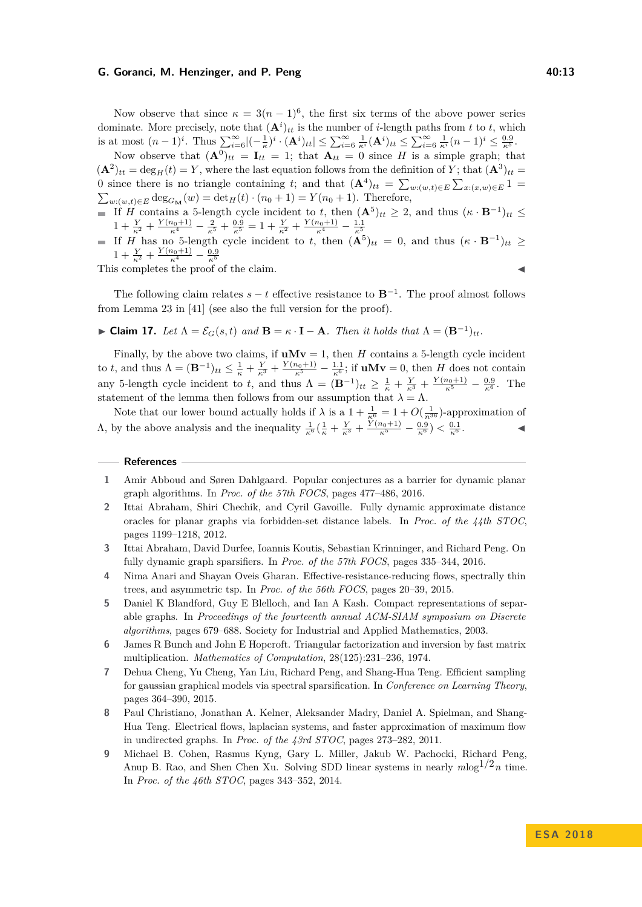#### **G. Goranci, M. Henzinger, and P. Peng 40:13**

Now observe that since  $\kappa = 3(n-1)^6$ , the first six terms of the above power series dominate. More precisely, note that  $(\mathbf{A}^i)_{tt}$  is the number of *i*-length paths from *t* to *t*, which is at most  $(n-1)^i$ . Thus  $\sum_{i=6}^{\infty} |(-\frac{1}{\kappa})^i \cdot (\mathbf{A}^i)_{tt}| \leq \sum_{i=6}^{\infty} \frac{1}{\kappa^i} (\mathbf{A}^i)_{tt} \leq \sum_{i=6}^{\infty} \frac{1}{\kappa^i} (n-1)^i \leq \frac{0.9}{\kappa^5}$ .

Now observe that  $(\mathbf{A}^0)_{tt} = \mathbf{I}_{tt} = 1$ ; that  $\mathbf{A}_{tt} = 0$  since *H* is a simple graph; that  $({\bf A}^2)_{tt} = \deg_H(t) = Y$ , where the last equation follows from the definition of *Y*; that  $({\bf A}^3)_{tt} =$ 0 since there is no triangle containing *t*; and that  $(\mathbf{A}^4)_{tt} = \sum_{w:(w,t)\in E} \sum_{x:(x,w)\in E} 1$  $\sum_{w:(w,t)\in E} \deg_{G_{\mathbf{M}}}(w) = \det_H(t) \cdot (n_0+1) = Y(n_0+1)$ . Therefore,

- If *H* contains a 5-length cycle incident to *t*, then  $({\bf A}^5)_{tt} \geq 2$ , and thus  $({\bf \kappa} \cdot {\bf B}^{-1})_{tt} \leq$  $1 + \frac{Y}{\kappa^2} + \frac{Y(n_0+1)}{\kappa^4} - \frac{2}{\kappa^5} + \frac{0.9}{\kappa^5} = 1 + \frac{Y}{\kappa^2} + \frac{Y(n_0+1)}{\kappa^4} - \frac{1.1}{\kappa^5}$ <br>If *H* has no 5-length cycle incident to *t*, then  $(\mathbf{A}^5)_{tt} = 0$ , and thus  $(\kappa \cdot \mathbf{B}^{-1})_{tt} \ge$
- $1 + \frac{Y}{\kappa^2} + \frac{Y(n_0+1)}{\kappa^4} \frac{0.9}{\kappa^5}$ <br>This completes the proof of the claim.

The following claim relates  $s - t$  effective resistance to  $\mathbf{B}^{-1}$ . The proof almost follows from Lemma 23 in [\[41\]](#page-14-18) (see also the full version for the proof).

► Claim 17. Let  $\Lambda = \mathcal{E}_G(s,t)$  and  $\mathbf{B} = \kappa \cdot \mathbf{I} - \mathbf{A}$ *. Then it holds that*  $\Lambda = (\mathbf{B}^{-1})_{tt}$ *.* 

Finally, by the above two claims, if  $uMv = 1$ , then *H* contains a 5-length cycle incident to *t*, and thus  $\Lambda = (\mathbf{B}^{-1})_{tt} \leq \frac{1}{\kappa} + \frac{Y}{\kappa^3} + \frac{Y(n_0+1)}{\kappa^5} - \frac{1\cdot 1}{\kappa^6}$ ; if **uMv** = 0, then *H* does not contain any 5-length cycle incident to *t*, and thus  $\Lambda = (\mathbf{B}^{-1})_{tt} \geq \frac{1}{\kappa} + \frac{Y}{\kappa^3} + \frac{Y(n_0+1)}{\kappa^5} - \frac{0.9}{\kappa^6}$ . The statement of the lemma then follows from our assumption that  $\lambda = \Lambda$ .

Note that our lower bound actually holds if  $\lambda$  is a  $1 + \frac{1}{\kappa^6} = 1 + O(\frac{1}{n^{36}})$ -approximation of *Λ*, by the above analysis and the inequality  $\frac{1}{\kappa^6}(\frac{1}{\kappa} + \frac{Y}{\kappa^3} + \frac{Y(n_0+1)}{\kappa^5} - \frac{0.9}{\kappa^6}) < \frac{0.1}{\kappa^6}$ . ◄

#### **References**

- <span id="page-12-8"></span>**1** Amir Abboud and Søren Dahlgaard. Popular conjectures as a barrier for dynamic planar graph algorithms. In *Proc. of the 57th FOCS*, pages 477–486, 2016.
- <span id="page-12-7"></span>**2** Ittai Abraham, Shiri Chechik, and Cyril Gavoille. Fully dynamic approximate distance oracles for planar graphs via forbidden-set distance labels. In *Proc. of the 44th STOC*, pages 1199–1218, 2012.
- <span id="page-12-4"></span>**3** Ittai Abraham, David Durfee, Ioannis Koutis, Sebastian Krinninger, and Richard Peng. On fully dynamic graph sparsifiers. In *Proc. of the 57th FOCS*, pages 335–344, 2016.
- <span id="page-12-6"></span>**4** Nima Anari and Shayan Oveis Gharan. Effective-resistance-reducing flows, spectrally thin trees, and asymmetric tsp. In *Proc. of the 56th FOCS*, pages 20–39, 2015.
- <span id="page-12-5"></span>**5** Daniel K Blandford, Guy E Blelloch, and Ian A Kash. Compact representations of separable graphs. In *Proceedings of the fourteenth annual ACM-SIAM symposium on Discrete algorithms*, pages 679–688. Society for Industrial and Applied Mathematics, 2003.
- <span id="page-12-3"></span>**6** James R Bunch and John E Hopcroft. Triangular factorization and inversion by fast matrix multiplication. *Mathematics of Computation*, 28(125):231–236, 1974.
- <span id="page-12-1"></span>**7** Dehua Cheng, Yu Cheng, Yan Liu, Richard Peng, and Shang-Hua Teng. Efficient sampling for gaussian graphical models via spectral sparsification. In *Conference on Learning Theory*, pages 364–390, 2015.
- <span id="page-12-0"></span>**8** Paul Christiano, Jonathan A. Kelner, Aleksander Madry, Daniel A. Spielman, and Shang-Hua Teng. Electrical flows, laplacian systems, and faster approximation of maximum flow in undirected graphs. In *Proc. of the 43rd STOC*, pages 273–282, 2011.
- <span id="page-12-2"></span>**9** Michael B. Cohen, Rasmus Kyng, Gary L. Miller, Jakub W. Pachocki, Richard Peng, Anup B. Rao, and Shen Chen Xu. Solving SDD linear systems in nearly  $m \log^{1/2} n$  time. In *Proc. of the 46th STOC*, pages 343–352, 2014.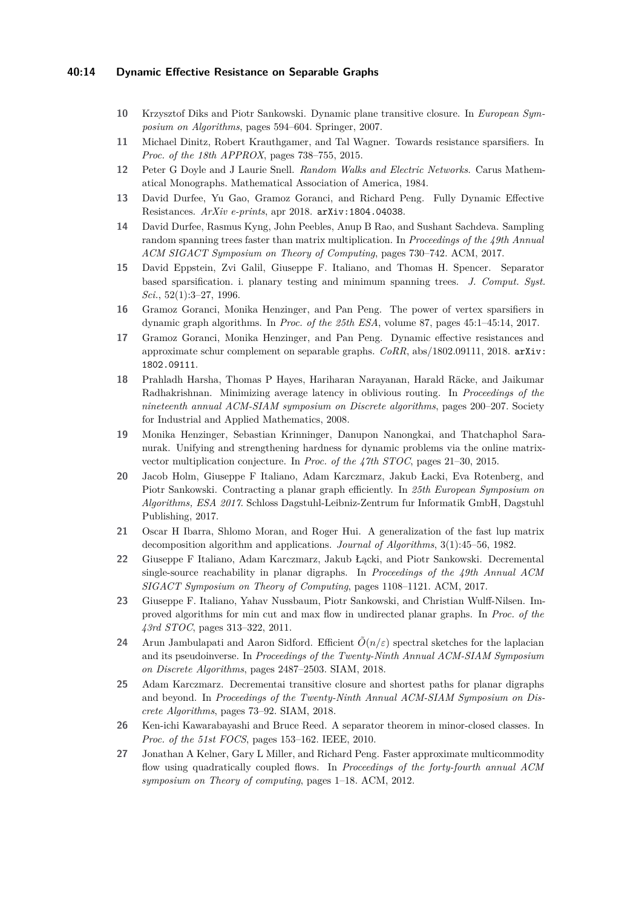#### **40:14 Dynamic Effective Resistance on Separable Graphs**

- <span id="page-13-14"></span>**10** Krzysztof Diks and Piotr Sankowski. Dynamic plane transitive closure. In *European Symposium on Algorithms*, pages 594–604. Springer, 2007.
- <span id="page-13-4"></span>**11** Michael Dinitz, Robert Krauthgamer, and Tal Wagner. Towards resistance sparsifiers. In *Proc. of the 18th APPROX*, pages 738–755, 2015.
- <span id="page-13-1"></span>**12** Peter G Doyle and J Laurie Snell. *Random Walks and Electric Networks*. Carus Mathematical Monographs. Mathematical Association of America, 1984.
- <span id="page-13-8"></span>**13** David Durfee, Yu Gao, Gramoz Goranci, and Richard Peng. Fully Dynamic Effective Resistances. *ArXiv e-prints*, apr 2018. [arXiv:1804.04038](http://arxiv.org/abs/1804.04038).
- <span id="page-13-5"></span>**14** David Durfee, Rasmus Kyng, John Peebles, Anup B Rao, and Sushant Sachdeva. Sampling random spanning trees faster than matrix multiplication. In *Proceedings of the 49th Annual ACM SIGACT Symposium on Theory of Computing*, pages 730–742. ACM, 2017.
- <span id="page-13-12"></span>**15** David Eppstein, Zvi Galil, Giuseppe F. Italiano, and Thomas H. Spencer. Separator based sparsification. i. planary testing and minimum spanning trees. *J. Comput. Syst. Sci.*, 52(1):3–27, 1996.
- <span id="page-13-10"></span>**16** Gramoz Goranci, Monika Henzinger, and Pan Peng. The power of vertex sparsifiers in dynamic graph algorithms. In *Proc. of the 25th ESA*, volume 87, pages 45:1–45:14, 2017.
- <span id="page-13-0"></span>**17** Gramoz Goranci, Monika Henzinger, and Pan Peng. Dynamic effective resistances and approximate schur complement on separable graphs. *CoRR*, abs/1802.09111, 2018. [arXiv:](http://arxiv.org/abs/1802.09111) [1802.09111](http://arxiv.org/abs/1802.09111).
- <span id="page-13-3"></span>**18** Prahladh Harsha, Thomas P Hayes, Hariharan Narayanan, Harald Räcke, and Jaikumar Radhakrishnan. Minimizing average latency in oblivious routing. In *Proceedings of the nineteenth annual ACM-SIAM symposium on Discrete algorithms*, pages 200–207. Society for Industrial and Applied Mathematics, 2008.
- <span id="page-13-17"></span>**19** Monika Henzinger, Sebastian Krinninger, Danupon Nanongkai, and Thatchaphol Saranurak. Unifying and strengthening hardness for dynamic problems via the online matrixvector multiplication conjecture. In *Proc. of the 47th STOC*, pages 21–30, 2015.
- <span id="page-13-15"></span>**20** Jacob Holm, Giuseppe F Italiano, Adam Karczmarz, Jakub Łacki, Eva Rotenberg, and Piotr Sankowski. Contracting a planar graph efficiently. In *25th European Symposium on Algorithms, ESA 2017*. Schloss Dagstuhl-Leibniz-Zentrum fur Informatik GmbH, Dagstuhl Publishing, 2017.
- <span id="page-13-7"></span>**21** Oscar H Ibarra, Shlomo Moran, and Roger Hui. A generalization of the fast lup matrix decomposition algorithm and applications. *Journal of Algorithms*, 3(1):45–56, 1982.
- <span id="page-13-13"></span>22 Giuseppe F Italiano, Adam Karczmarz, Jakub Łącki, and Piotr Sankowski. Decremental single-source reachability in planar digraphs. In *Proceedings of the 49th Annual ACM SIGACT Symposium on Theory of Computing*, pages 1108–1121. ACM, 2017.
- <span id="page-13-11"></span>**23** Giuseppe F. Italiano, Yahav Nussbaum, Piotr Sankowski, and Christian Wulff-Nilsen. Improved algorithms for min cut and max flow in undirected planar graphs. In *Proc. of the 43rd STOC*, pages 313–322, 2011.
- <span id="page-13-6"></span>**24** Arun Jambulapati and Aaron Sidford. Efficient  $\tilde{O}(n/\varepsilon)$  spectral sketches for the laplacian and its pseudoinverse. In *Proceedings of the Twenty-Ninth Annual ACM-SIAM Symposium on Discrete Algorithms*, pages 2487–2503. SIAM, 2018.
- <span id="page-13-16"></span>**25** Adam Karczmarz. Decrementai transitive closure and shortest paths for planar digraphs and beyond. In *Proceedings of the Twenty-Ninth Annual ACM-SIAM Symposium on Discrete Algorithms*, pages 73–92. SIAM, 2018.
- <span id="page-13-9"></span>**26** Ken-ichi Kawarabayashi and Bruce Reed. A separator theorem in minor-closed classes. In *Proc. of the 51st FOCS*, pages 153–162. IEEE, 2010.
- <span id="page-13-2"></span>**27** Jonathan A Kelner, Gary L Miller, and Richard Peng. Faster approximate multicommodity flow using quadratically coupled flows. In *Proceedings of the forty-fourth annual ACM symposium on Theory of computing*, pages 1–18. ACM, 2012.